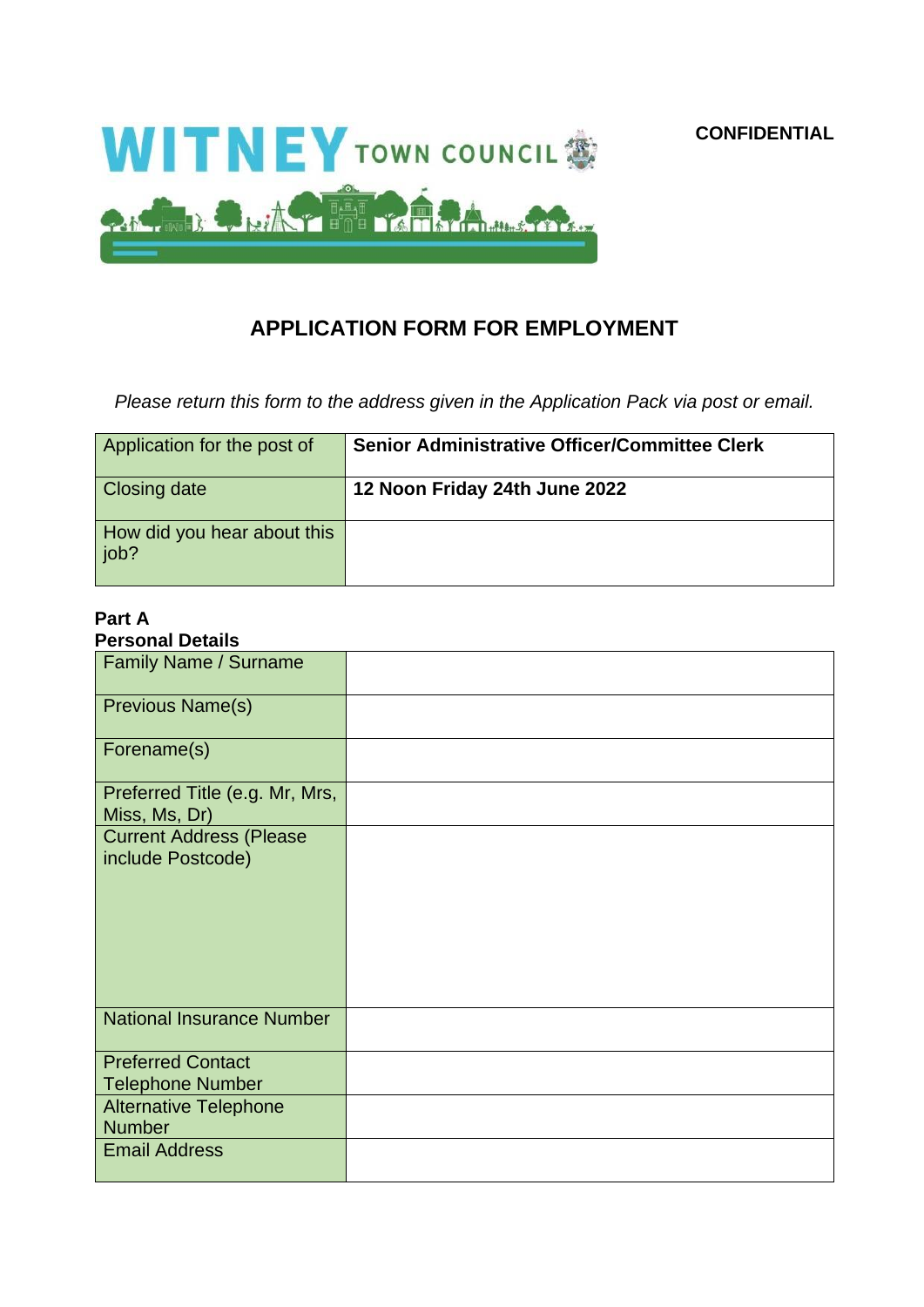

## **APPLICATION FORM FOR EMPLOYMENT**

*Please return this form to the address given in the Application Pack via post or email.*

| Application for the post of           | <b>Senior Administrative Officer/Committee Clerk</b> |
|---------------------------------------|------------------------------------------------------|
| Closing date                          | 12 Noon Friday 24th June 2022                        |
| How did you hear about this<br>  job? |                                                      |

# **Part A**

| <b>Personal Details</b>                             |  |
|-----------------------------------------------------|--|
| Family Name / Surname                               |  |
| Previous Name(s)                                    |  |
| Forename(s)                                         |  |
| Preferred Title (e.g. Mr, Mrs,<br>Miss, Ms, Dr)     |  |
| <b>Current Address (Please</b><br>include Postcode) |  |
| <b>National Insurance Number</b>                    |  |
| <b>Preferred Contact</b><br><b>Telephone Number</b> |  |
| <b>Alternative Telephone</b><br><b>Number</b>       |  |
| <b>Email Address</b>                                |  |

**CONFIDENTIAL**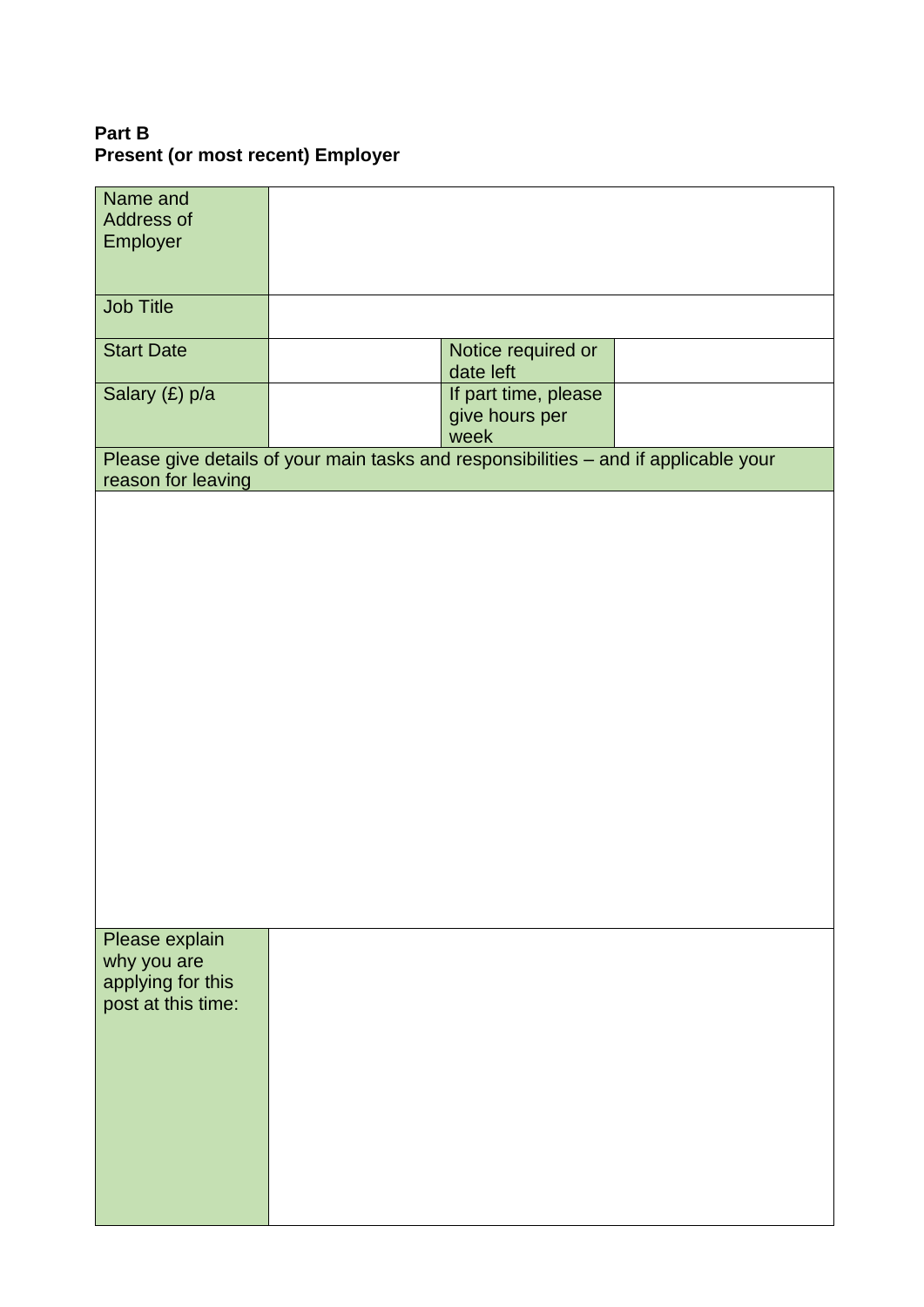## **Part B Present (or most recent) Employer**

| Name and<br>Address of                  |                                                                                      |                                                |  |
|-----------------------------------------|--------------------------------------------------------------------------------------|------------------------------------------------|--|
| Employer                                |                                                                                      |                                                |  |
|                                         |                                                                                      |                                                |  |
| <b>Job Title</b>                        |                                                                                      |                                                |  |
| <b>Start Date</b>                       |                                                                                      | Notice required or<br>date left                |  |
| Salary (£) p/a                          |                                                                                      | If part time, please<br>give hours per<br>week |  |
| reason for leaving                      | Please give details of your main tasks and responsibilities - and if applicable your |                                                |  |
|                                         |                                                                                      |                                                |  |
|                                         |                                                                                      |                                                |  |
|                                         |                                                                                      |                                                |  |
|                                         |                                                                                      |                                                |  |
|                                         |                                                                                      |                                                |  |
|                                         |                                                                                      |                                                |  |
|                                         |                                                                                      |                                                |  |
|                                         |                                                                                      |                                                |  |
|                                         |                                                                                      |                                                |  |
|                                         |                                                                                      |                                                |  |
|                                         |                                                                                      |                                                |  |
|                                         |                                                                                      |                                                |  |
| Please explain<br>why you are           |                                                                                      |                                                |  |
| applying for this<br>post at this time: |                                                                                      |                                                |  |
|                                         |                                                                                      |                                                |  |
|                                         |                                                                                      |                                                |  |
|                                         |                                                                                      |                                                |  |
|                                         |                                                                                      |                                                |  |
|                                         |                                                                                      |                                                |  |
|                                         |                                                                                      |                                                |  |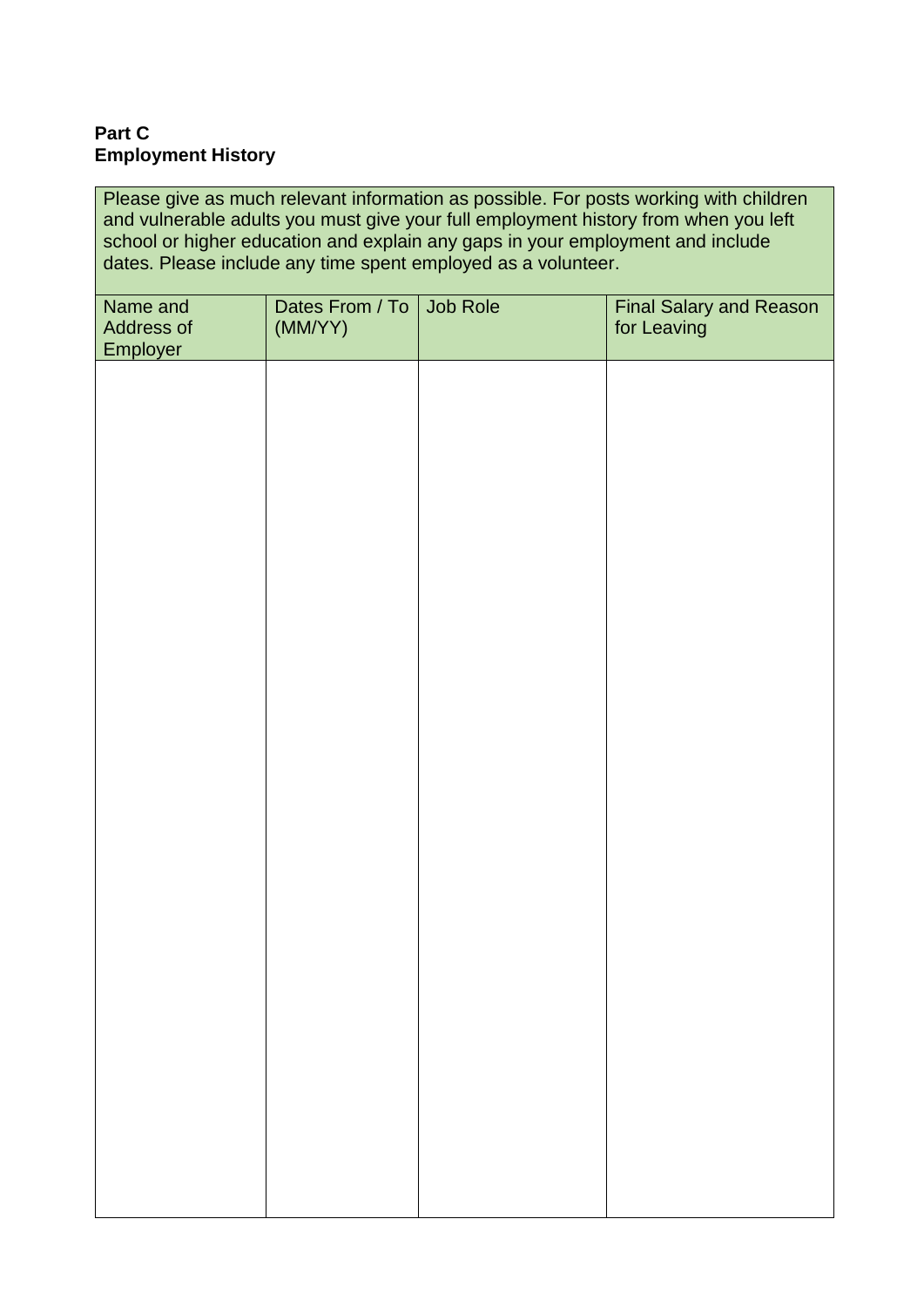#### **Part C Employment History**

Please give as much relevant information as possible. For posts working with children and vulnerable adults you must give your full employment history from when you left school or higher education and explain any gaps in your employment and include dates. Please include any time spent employed as a volunteer.

| Name and<br>Address of<br>Employer | Dates From / To<br>(MM/YY) | Job Role | <b>Final Salary and Reason</b><br>for Leaving |
|------------------------------------|----------------------------|----------|-----------------------------------------------|
|                                    |                            |          |                                               |
|                                    |                            |          |                                               |
|                                    |                            |          |                                               |
|                                    |                            |          |                                               |
|                                    |                            |          |                                               |
|                                    |                            |          |                                               |
|                                    |                            |          |                                               |
|                                    |                            |          |                                               |
|                                    |                            |          |                                               |
|                                    |                            |          |                                               |
|                                    |                            |          |                                               |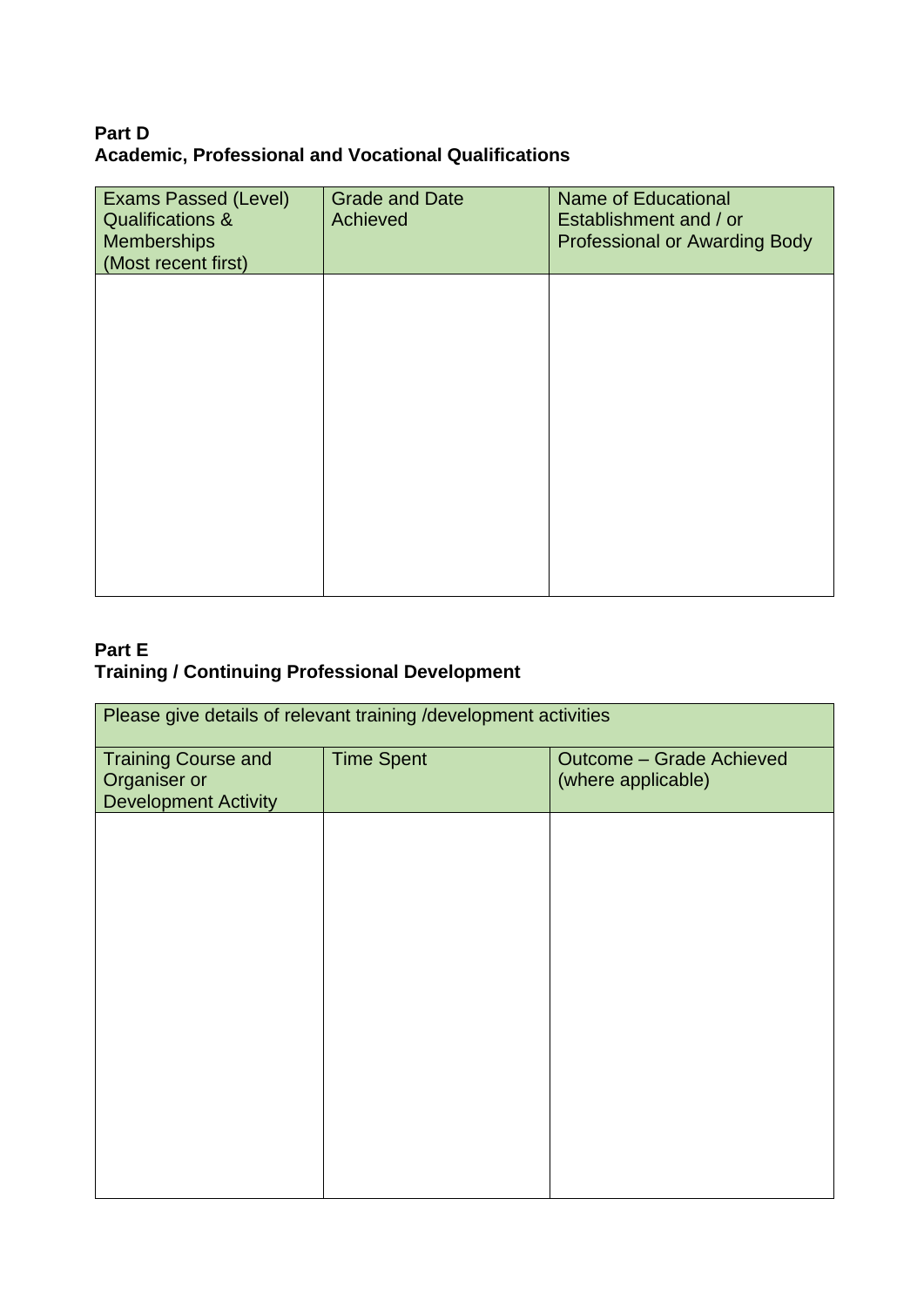## **Part D Academic, Professional and Vocational Qualifications**

| <b>Exams Passed (Level)</b><br><b>Qualifications &amp;</b><br><b>Memberships</b><br>(Most recent first) | <b>Grade and Date</b><br>Achieved | <b>Name of Educational</b><br>Establishment and / or<br><b>Professional or Awarding Body</b> |
|---------------------------------------------------------------------------------------------------------|-----------------------------------|----------------------------------------------------------------------------------------------|
|                                                                                                         |                                   |                                                                                              |
|                                                                                                         |                                   |                                                                                              |
|                                                                                                         |                                   |                                                                                              |
|                                                                                                         |                                   |                                                                                              |

## **Part E Training / Continuing Professional Development**

| Please give details of relevant training /development activities          |                   |                                                       |
|---------------------------------------------------------------------------|-------------------|-------------------------------------------------------|
| <b>Training Course and</b><br>Organiser or<br><b>Development Activity</b> | <b>Time Spent</b> | <b>Outcome - Grade Achieved</b><br>(where applicable) |
|                                                                           |                   |                                                       |
|                                                                           |                   |                                                       |
|                                                                           |                   |                                                       |
|                                                                           |                   |                                                       |
|                                                                           |                   |                                                       |
|                                                                           |                   |                                                       |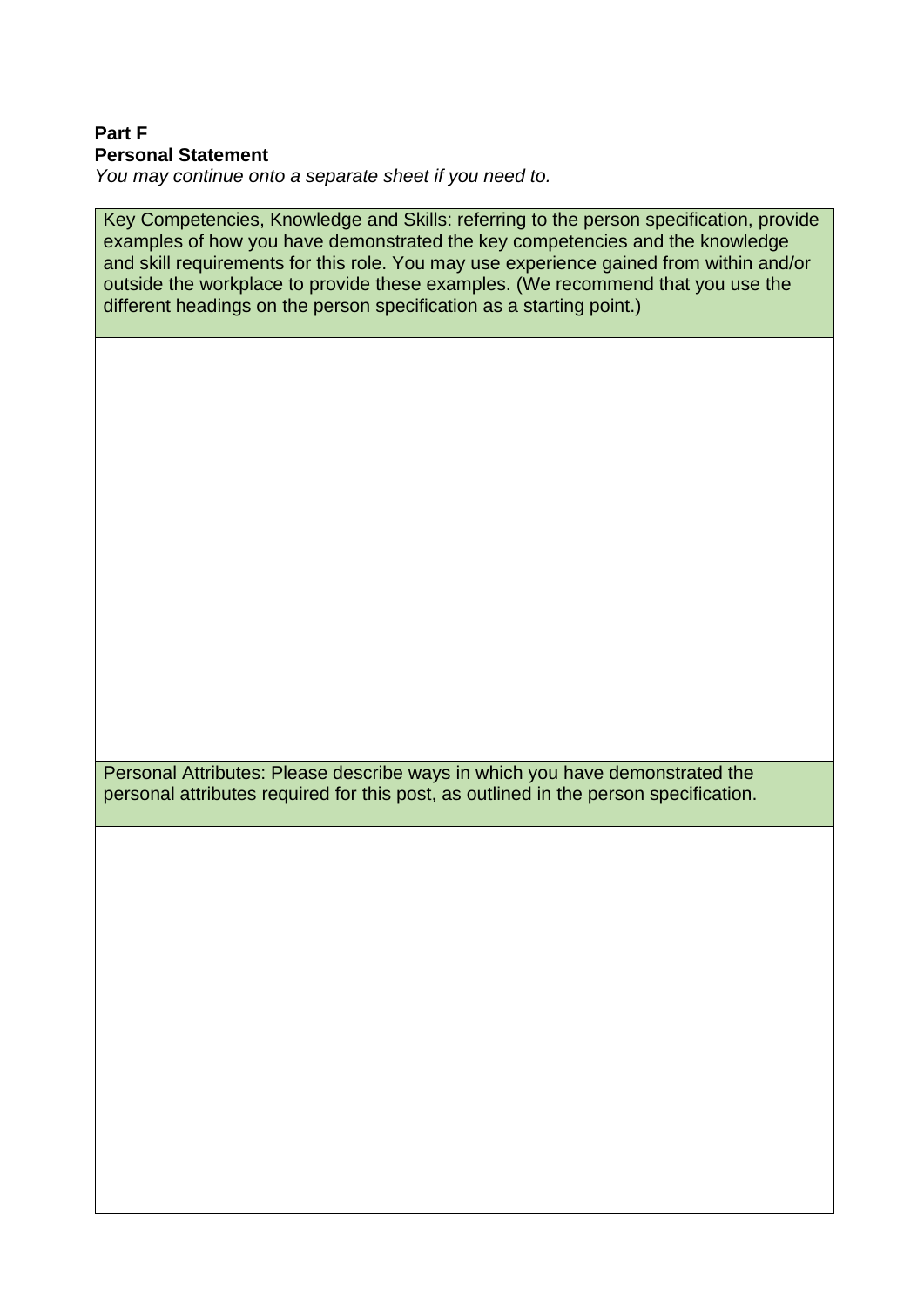#### **Part F Personal Statement**

*You may continue onto a separate sheet if you need to.*

Key Competencies, Knowledge and Skills: referring to the person specification, provide examples of how you have demonstrated the key competencies and the knowledge and skill requirements for this role. You may use experience gained from within and/or outside the workplace to provide these examples. (We recommend that you use the different headings on the person specification as a starting point.)

Personal Attributes: Please describe ways in which you have demonstrated the personal attributes required for this post, as outlined in the person specification.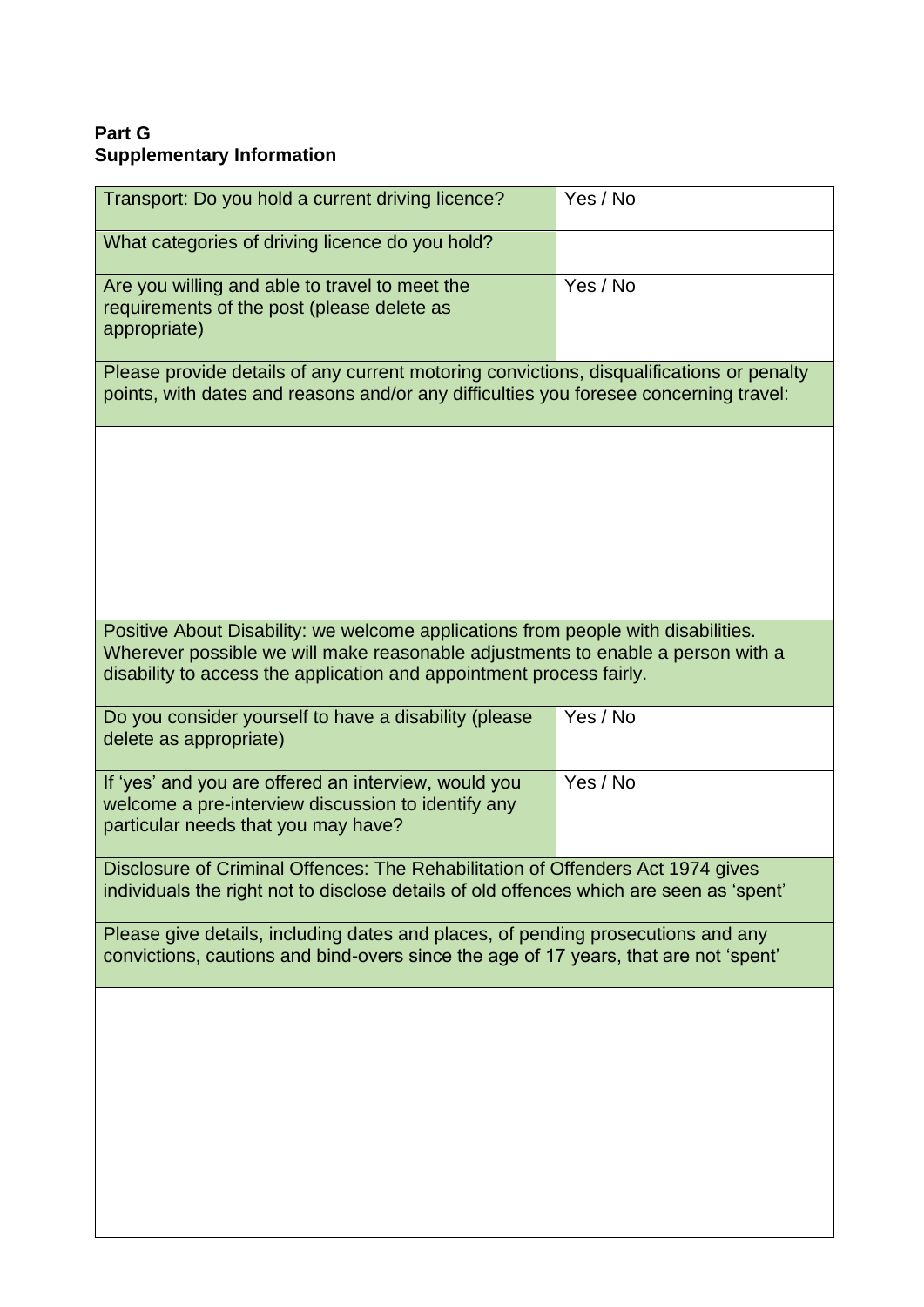## **Part G Supplementary Information**

| Transport: Do you hold a current driving licence?                                                                                                                                                                                            | Yes / No |
|----------------------------------------------------------------------------------------------------------------------------------------------------------------------------------------------------------------------------------------------|----------|
| What categories of driving licence do you hold?                                                                                                                                                                                              |          |
| Are you willing and able to travel to meet the<br>requirements of the post (please delete as<br>appropriate)                                                                                                                                 | Yes / No |
| Please provide details of any current motoring convictions, disqualifications or penalty<br>points, with dates and reasons and/or any difficulties you foresee concerning travel:                                                            |          |
|                                                                                                                                                                                                                                              |          |
|                                                                                                                                                                                                                                              |          |
|                                                                                                                                                                                                                                              |          |
|                                                                                                                                                                                                                                              |          |
| Positive About Disability: we welcome applications from people with disabilities.<br>Wherever possible we will make reasonable adjustments to enable a person with a<br>disability to access the application and appointment process fairly. |          |
| Do you consider yourself to have a disability (please                                                                                                                                                                                        | Yes / No |
| delete as appropriate)                                                                                                                                                                                                                       |          |
| If 'yes' and you are offered an interview, would you<br>welcome a pre-interview discussion to identify any<br>particular needs that you may have?                                                                                            | Yes / No |
| Disclosure of Criminal Offences: The Rehabilitation of Offenders Act 1974 gives<br>individuals the right not to disclose details of old offences which are seen as 'spent'                                                                   |          |
| Please give details, including dates and places, of pending prosecutions and any<br>convictions, cautions and bind-overs since the age of 17 years, that are not 'spent'                                                                     |          |
|                                                                                                                                                                                                                                              |          |
|                                                                                                                                                                                                                                              |          |
|                                                                                                                                                                                                                                              |          |
|                                                                                                                                                                                                                                              |          |
|                                                                                                                                                                                                                                              |          |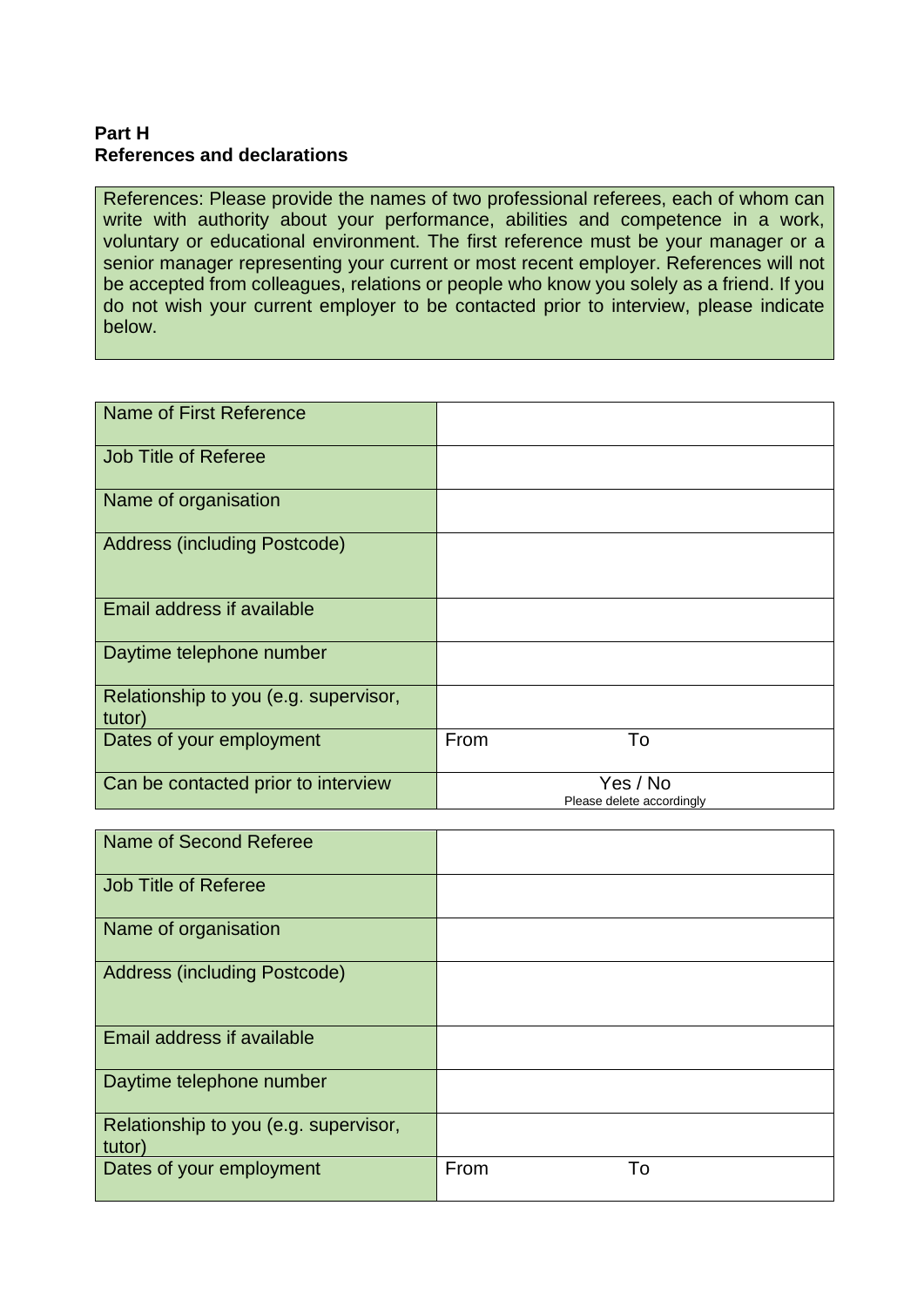#### **Part H References and declarations**

References: Please provide the names of two professional referees, each of whom can write with authority about your performance, abilities and competence in a work, voluntary or educational environment. The first reference must be your manager or a senior manager representing your current or most recent employer. References will not be accepted from colleagues, relations or people who know you solely as a friend. If you do not wish your current employer to be contacted prior to interview, please indicate below.

| Name of First Reference                         |                                       |
|-------------------------------------------------|---------------------------------------|
| <b>Job Title of Referee</b>                     |                                       |
| Name of organisation                            |                                       |
| <b>Address (including Postcode)</b>             |                                       |
| Email address if available                      |                                       |
| Daytime telephone number                        |                                       |
| Relationship to you (e.g. supervisor,<br>tutor) |                                       |
| Dates of your employment                        | To<br>From                            |
| Can be contacted prior to interview             | Yes / No<br>Please delete accordingly |

| Name of Second Referee                          |            |
|-------------------------------------------------|------------|
| <b>Job Title of Referee</b>                     |            |
| Name of organisation                            |            |
| <b>Address (including Postcode)</b>             |            |
| Email address if available                      |            |
| Daytime telephone number                        |            |
| Relationship to you (e.g. supervisor,<br>tutor) |            |
| Dates of your employment                        | From<br>To |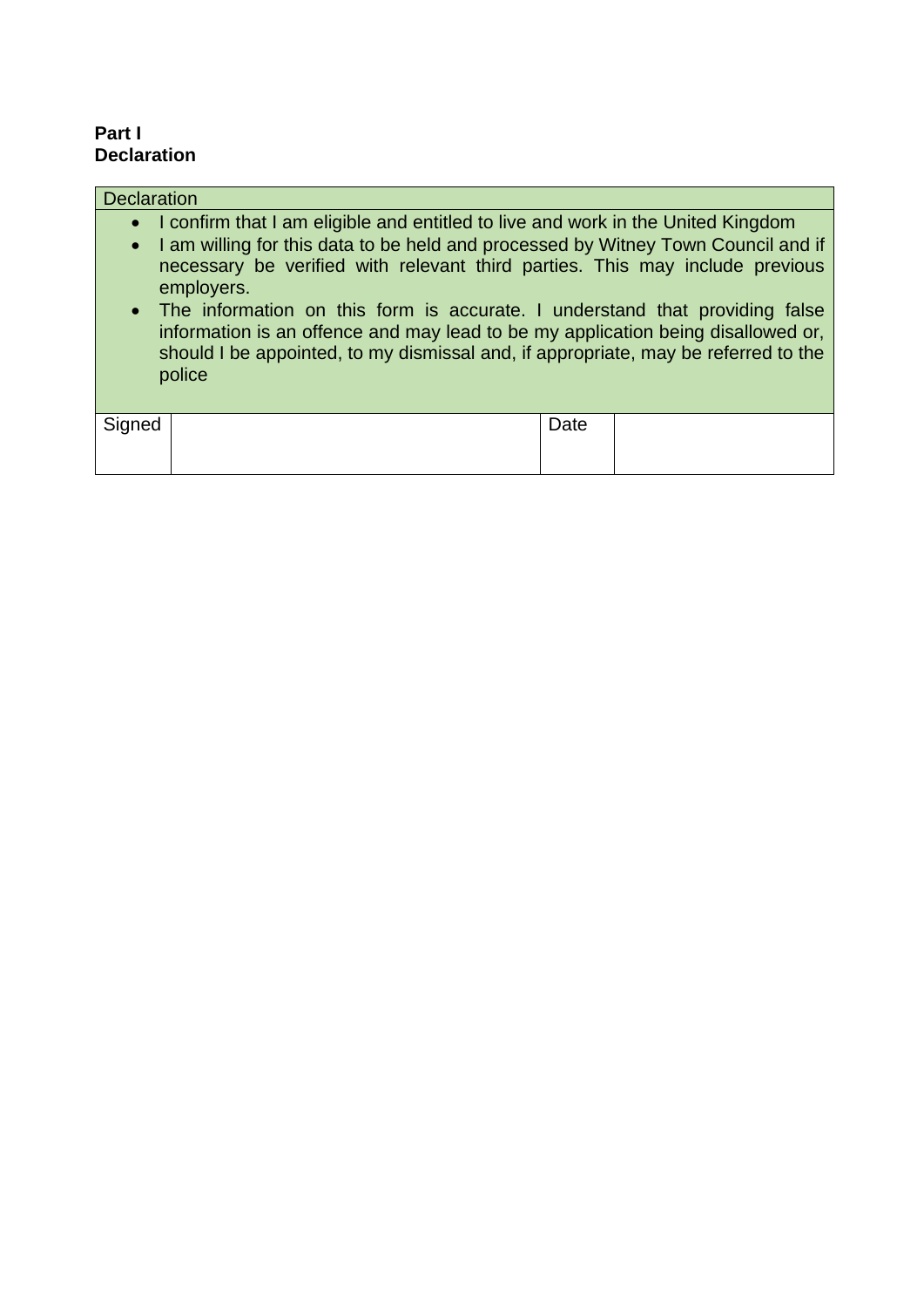#### **Part I Declaration**

| <b>Declaration</b> |                                                                                                                                                                                                                                                                                                                                                                                                                                                                                                                                            |      |  |
|--------------------|--------------------------------------------------------------------------------------------------------------------------------------------------------------------------------------------------------------------------------------------------------------------------------------------------------------------------------------------------------------------------------------------------------------------------------------------------------------------------------------------------------------------------------------------|------|--|
| $\bullet$          | • I confirm that I am eligible and entitled to live and work in the United Kingdom<br>I am willing for this data to be held and processed by Witney Town Council and if<br>necessary be verified with relevant third parties. This may include previous<br>employers.<br>• The information on this form is accurate. I understand that providing false<br>information is an offence and may lead to be my application being disallowed or,<br>should I be appointed, to my dismissal and, if appropriate, may be referred to the<br>police |      |  |
| Signed             |                                                                                                                                                                                                                                                                                                                                                                                                                                                                                                                                            | Date |  |